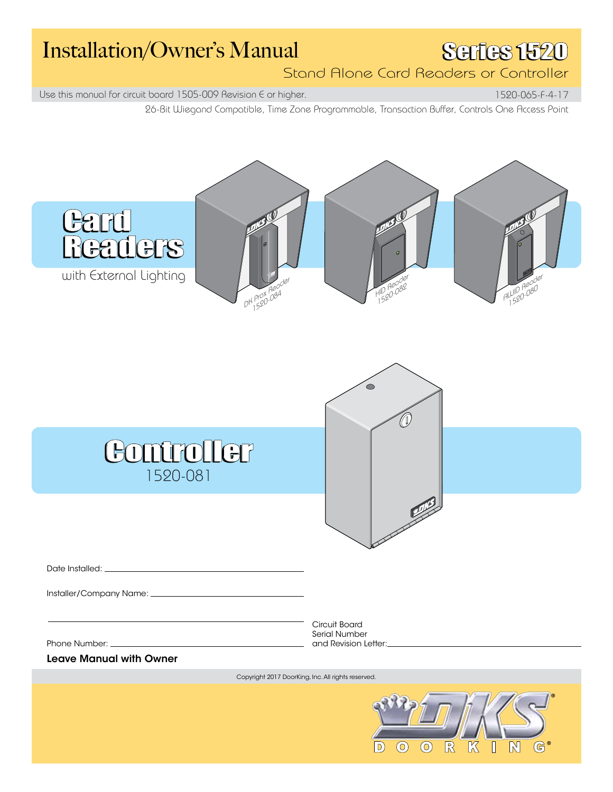## Installation/Owner's Manual SGIES 1520

Stand Alone Card Readers or Controller

Use this manual for circuit board 1505-009 Revision  $\epsilon$  or higher.

26-Bit Wiegand Compatible, Time Zone Programmable, Transaction Buffer, Controls One Access Point 1520-065-F-4-17

**Card Card** Readers Readers with External Lighting HID Reader AWID Reader 1520-080 11D He 082<br>1520-082  $DH_{1}^{PQX}H_{2}^{QZ}$  $1520$  $\bigcirc$ 4 Controller 1520-081 Date Installed: \_ Installer/Company Name: Circuit Board Serial Number Phone Number: \_\_ and Revision Letter: **Leave Manual with Owner**  Copyright 2017 DoorKing, Inc. All rights reserved.  $\odot$  $\circledcirc$  $\mathbb{R}$  $\mathbb{G}^*$  $\boxed{D}$  $\mathbb K$  $\mathbb{N}$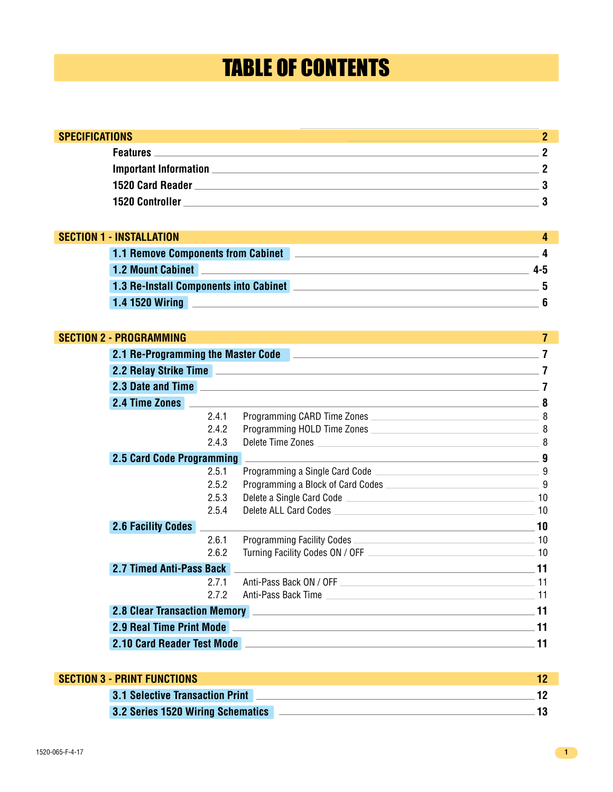## TABLE OF CONTENTS

| <b>SPECIFICATIONS</b>                     |   |
|-------------------------------------------|---|
|                                           | 0 |
|                                           |   |
| 1520 Card Reader                          |   |
| <b>1520 Controller</b>                    |   |
|                                           |   |
| <b>SECTION 1 - INSTALLATION</b>           |   |
| <b>1.1 Remove Components from Cabinet</b> |   |
|                                           |   |

| <b>1.2 Mount Cabinet</b>               |  |
|----------------------------------------|--|
| 1.3 Re-Install Components into Cabinet |  |
| <b>1.4 1520 Wiring</b>                 |  |

#### **SECTION 2 - PROGRAMMING**

| SECTION 2 - PROGRAMMING   |       |                                                                                                                                                                                                                                                              | 7   |
|---------------------------|-------|--------------------------------------------------------------------------------------------------------------------------------------------------------------------------------------------------------------------------------------------------------------|-----|
|                           |       | 2.1 Re-Programming the Master Code <b>Constitution and Constitution</b> 2.1 Re-Programming the Master Code                                                                                                                                                   |     |
|                           |       | 2.2 Relay Strike Time <b>All Accords</b> 2.2 Relay Strike Time <b>All Accords</b> 2.2 Relay Strike Time <b>All Accords</b> 2.2 Relay Strike Time <b>All Accords</b> 2.2 Relay Strike Time <b>All Accords</b> 2.2 Relay Strike Time <b>All Accords</b> 2.2 Re |     |
|                           |       | 2.3 Date and Time <b>and Time and Time and Time and Time and Time and Time and Time and Time and Time and Time and</b>                                                                                                                                       |     |
| 2.4 Time Zones            |       | <u> 1980 - Johann Barn, fransk politik (d. 1980)</u>                                                                                                                                                                                                         | 8   |
|                           | 2.4.1 | Programming CARD Time Zones                                                                                                                                                                                                                                  | 8   |
|                           | 2.4.2 | Programming HOLD Time Zones                                                                                                                                                                                                                                  |     |
|                           | 2.4.3 | Delete Time Zones                                                                                                                                                                                                                                            |     |
| 2.5 Card Code Programming |       | <u> 1989 - Johann John Stone, meilich aus der Stone (der Stone Stone Stone Stone Stone Stone Stone Stone Stone Sto</u>                                                                                                                                       | g   |
|                           | 2.5.1 |                                                                                                                                                                                                                                                              |     |
|                           | 2.5.2 | Programming a Block of Card Codes                                                                                                                                                                                                                            | 9   |
|                           | 2.5.3 | Delete a Single Card Code <b>contract of the Contract of Contract Contract of Code</b> contract of the Code contract of                                                                                                                                      | 10  |
|                           | 2.5.4 |                                                                                                                                                                                                                                                              | 10  |
| <b>2.6 Facility Codes</b> |       | <u> 1989 - Johann Stein, marwolaethau a bhann an t-Amhair ann an t-Amhair an t-Amhair an t-Amhair an t-Amhair an</u>                                                                                                                                         | 10  |
|                           | 2.6.1 | Programming Facility Codes 2008 2009 10                                                                                                                                                                                                                      |     |
|                           | 2.6.2 |                                                                                                                                                                                                                                                              |     |
| 2.7 Timed Anti-Pass Back  |       | <u> 1989 - Johann Stoff, deutscher Stoff, der Stoff, der Stoff, der Stoff, der Stoff, der Stoff, der Stoff, der S</u>                                                                                                                                        | -11 |
|                           | 2.7.1 |                                                                                                                                                                                                                                                              | 11  |
|                           | 2.7.2 | Anti-Pass Back Time 2008 2014 11                                                                                                                                                                                                                             |     |
|                           |       |                                                                                                                                                                                                                                                              |     |
|                           |       | 2.9 Real Time Print Mode <b>All Accords</b> 2.9 Real Time Print Mode <b>All Accords</b> 2.9 Real Time Print Mode <b>All Accords</b>                                                                                                                          | 11  |
|                           |       | 2.10 Card Reader Test Mode <b>All Accords</b> 2.10 No. 2.10 No. 2.10 No. 2.10 No. 2.10 No. 2.10 No. 2.10 No. 2.10 No. 2                                                                                                                                      | 11  |

| <b>SECTION 3 - PRINT FUNCTIONS</b>       |  |
|------------------------------------------|--|
| <b>3.1 Selective Transaction Print</b>   |  |
| <b>3.2 Series 1520 Wiring Schematics</b> |  |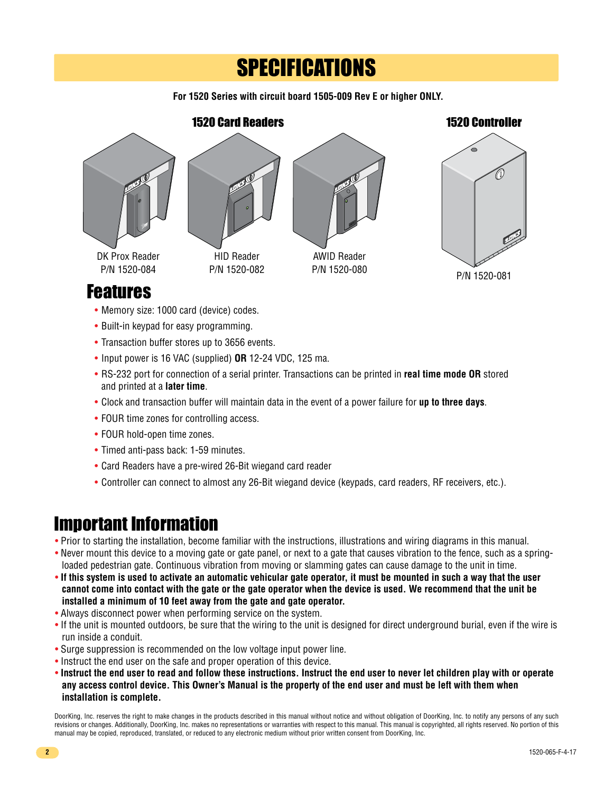## **SPECIFICATIONS**

**For 1520 Series with circuit board 1505-009 Rev E or higher ONLY.**



- Memory size: 1000 card (device) codes.
- Built-in keypad for easy programming.
- Transaction buffer stores up to 3656 events.
- Input power is 16 VAC (supplied) **OR** 12-24 VDC, 125 ma.
- RS-232 port for connection of a serial printer. Transactions can be printed in **real time mode OR** stored and printed at a **later time**.
- Clock and transaction buffer will maintain data in the event of a power failure for **up to three days**.
- FOUR time zones for controlling access.
- FOUR hold-open time zones.
- Timed anti-pass back: 1-59 minutes.
- Card Readers have a pre-wired 26-Bit wiegand card reader
- Controller can connect to almost any 26-Bit wiegand device (keypads, card readers, RF receivers, etc.).

#### Important Information

- Prior to starting the installation, become familiar with the instructions, illustrations and wiring diagrams in this manual.
- Never mount this device to a moving gate or gate panel, or next to a gate that causes vibration to the fence, such as a spring loaded pedestrian gate. Continuous vibration from moving or slamming gates can cause damage to the unit in time.
- **If this system is used to activate an automatic vehicular gate operator, it must be mounted in such a way that the user cannot come into contact with the gate or the gate operator when the device is used. We recommend that the unit be installed a minimum of 10 feet away from the gate and gate operator.**
- Always disconnect power when performing service on the system.
- If the unit is mounted outdoors, be sure that the wiring to the unit is designed for direct underground burial, even if the wire is run inside a conduit.
- Surge suppression is recommended on the low voltage input power line.
- Instruct the end user on the safe and proper operation of this device.
- **Instruct the end user to read and follow these instructions. Instruct the end user to never let children play with or operate any access control device. This Owner's Manual is the property of the end user and must be left with them when installation is complete.**

DoorKing, Inc. reserves the right to make changes in the products described in this manual without notice and without obligation of DoorKing, Inc. to notify any persons of any such revisions or changes. Additionally, DoorKing, Inc. makes no representations or warranties with respect to this manual. This manual is copyrighted, all rights reserved. No portion of this manual may be copied, reproduced, translated, or reduced to any electronic medium without prior written consent from DoorKing, Inc.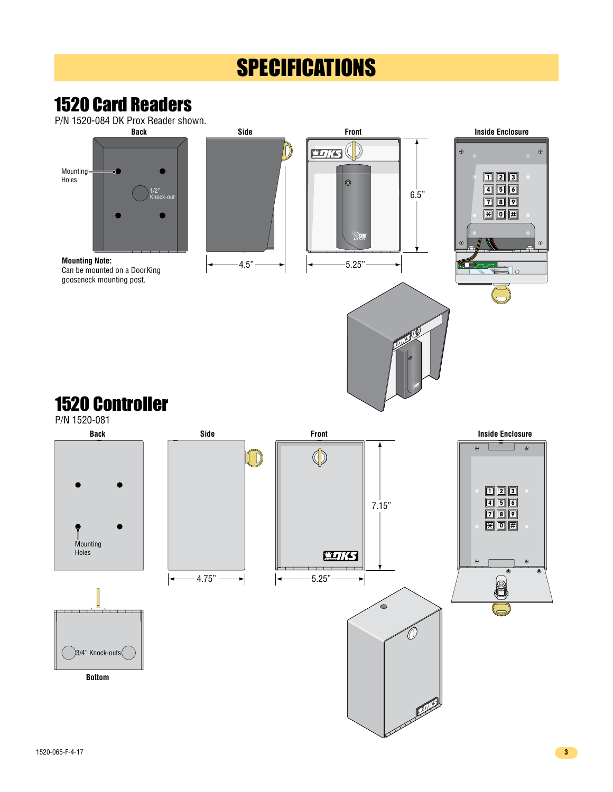## **SPECIFICATIONS**

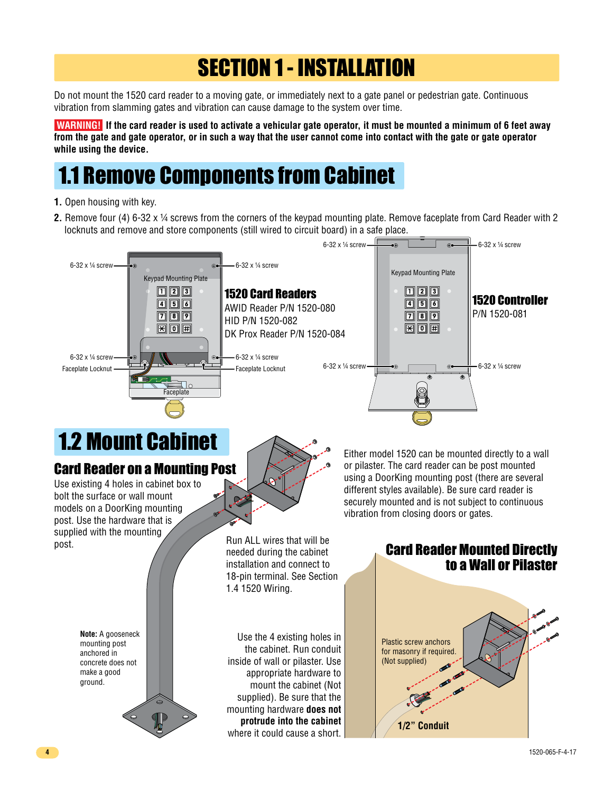## SECTION 1 - INSTALLATION

Do not mount the 1520 card reader to a moving gate, or immediately next to a gate panel or pedestrian gate. Continuous vibration from slamming gates and vibration can cause damage to the system over time.

 **WARNING! If the card reader is used to activate a vehicular gate operator, it must be mounted a minimum of 6 feet away from the gate and gate operator, or in such a way that the user cannot come into contact with the gate or gate operator while using the device.**

## 1.1 Remove Components from Cabinet

- **1.** Open housing with key.
- **2.** Remove four (4) 6-32 x ¼ screws from the corners of the keypad mounting plate. Remove faceplate from Card Reader with 2 locknuts and remove and store components (still wired to circuit board) in a safe place.



# 1.2 Mount Cabinet

#### Card Reader on a Mounting Post

Use existing 4 holes in cabinet box to bolt the surface or wall mount models on a DoorKing mounting post. Use the hardware that is supplied with the mounting post.



Either model 1520 can be mounted directly to a wall or pilaster. The card reader can be post mounted using a DoorKing mounting post (there are several different styles available). Be sure card reader is securely mounted and is not subject to continuous vibration from closing doors or gates.

Run ALL wires that will be needed during the cabinet installation and connect to 18-pin terminal. See Section 1.4 1520 Wiring.

Use the 4 existing holes in the cabinet. Run conduit inside of wall or pilaster. Use appropriate hardware to mount the cabinet (Not supplied). Be sure that the mounting hardware **does not protrude into the cabinet** where it could cause a short. Card Reader Mounted Directly to a Wall or Pilaster



**Note:** A gooseneck mounting post anchored in concrete does not make a good ground.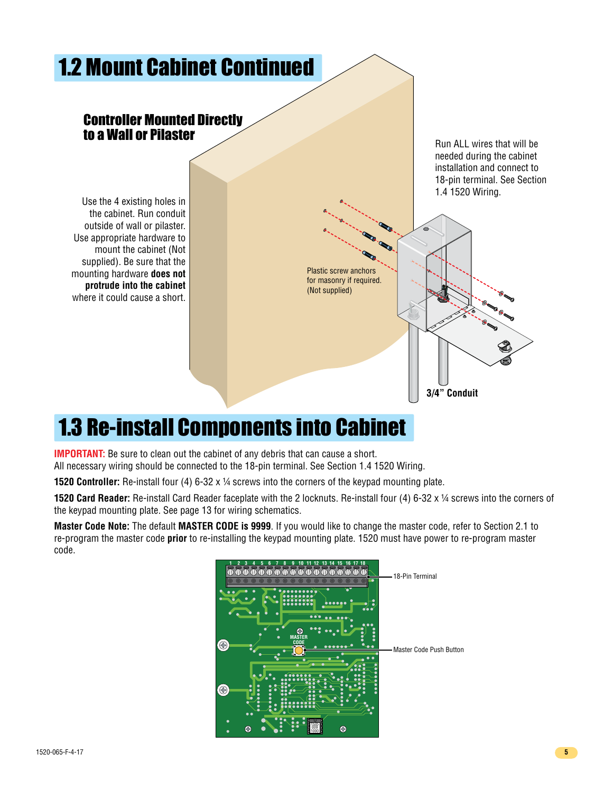

## 1.3 Re-install Components into Cabinet

**IMPORTANT:** Be sure to clean out the cabinet of any debris that can cause a short. All necessary wiring should be connected to the 18-pin terminal. See Section 1.4 1520 Wiring.

**1520 Controller:** Re-install four (4) 6-32 x ¼ screws into the corners of the keypad mounting plate.

**1520 Card Reader:** Re-install Card Reader faceplate with the 2 locknuts. Re-install four (4) 6-32 x ¼ screws into the corners of the keypad mounting plate. See page 13 for wiring schematics.

**Master Code Note:** The default **MASTER CODE is 9999**. If you would like to change the master code, refer to Section 2.1 to re-program the master code **prior** to re-installing the keypad mounting plate. 1520 must have power to re-program master code.

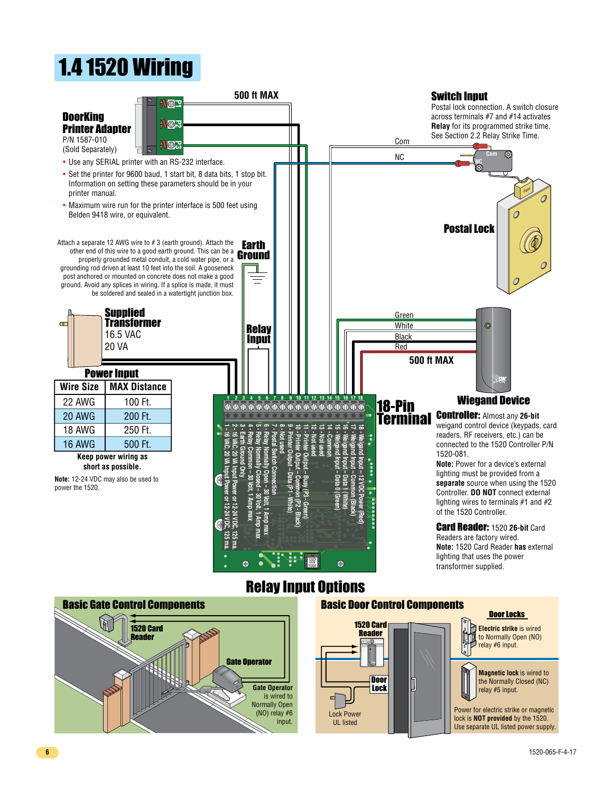## 1.4 1520 Wiring





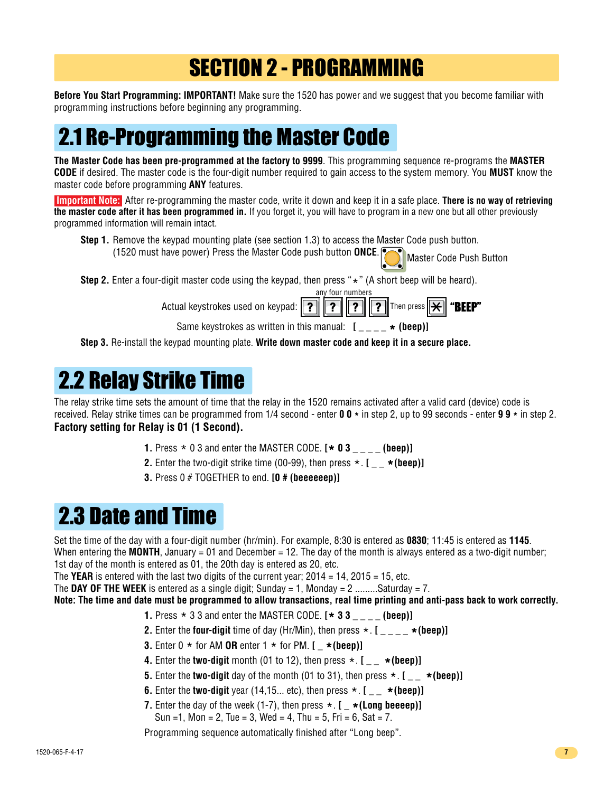## SECTION 2 - PROGRAMMING

**Before You Start Programming: IMPORTANT!** Make sure the 1520 has power and we suggest that you become familiar with programming instructions before beginning any programming.

## 2.1 Re-Programming the Master Code

**The Master Code has been pre-programmed at the factory to 9999**. This programming sequence re-programs the **MASTER CODE** if desired. The master code is the four-digit number required to gain access to the system memory. You **MUST** know the master code before programming **ANY** features.

 **Important Note:** After re-programming the master code, write it down and keep it in a safe place. **There is no way of retrieving the master code after it has been programmed in.** If you forget it, you will have to program in a new one but all other previously programmed information will remain intact.

Master Code Push Button **Step 1.** Remove the keypad mounting plate (see section 1.3) to access the Master Code push button. (1520 must have power) Press the Master Code push button **ONCE**.

**Step 2.** Enter a four-digit master code using the keypad, then press "\*" (A short beep will be heard). any four numbers

|                                                                   | any roar nambors |                |
|-------------------------------------------------------------------|------------------|----------------|
| Actual keystrokes used on keypad: ? ? ? Then press X <b>*BEEP</b> |                  |                |
| Canas Irayahushaa aa wulttan in this maanyah. F                   |                  | $\sim$ /kaas)1 |

Same keystrokes as written in this manual:  $[ \bullet \bullet \bullet \bullet]$ 

**Step 3.** Re-install the keypad mounting plate. **Write down master code and keep it in a secure place.**

## 2.2 Relay Strike Time

The relay strike time sets the amount of time that the relay in the 1520 remains activated after a valid card (device) code is received. Relay strike times can be programmed from 1/4 second - enter **0 0 \*** in step 2, up to 99 seconds - enter **9 9 \*** in step 2. **Factory setting for Relay is 01 (1 Second).**

- **1.** Press \* 0 3 and enter the MASTER CODE. **[ \* 0 3 \_ \_ \_ \_ (beep)]**
- **2.** Enter the two-digit strike time  $(00-99)$ , then press  $\star$ .  $[ \star$  (beep)]
- **3.** Press 0 # TOGETHER to end. **[0 # (beeeeeep)]**

## 2.3 Date and Time

Set the time of the day with a four-digit number (hr/min). For example, 8:30 is entered as **0830**; 11:45 is entered as **1145**. When entering the **MONTH**, January = 01 and December = 12. The day of the month is always entered as a two-digit number; 1st day of the month is entered as 01, the 20th day is entered as 20, etc.

The **YEAR** is entered with the last two digits of the current year;  $2014 = 14$ ,  $2015 = 15$ , etc.

The **DAY OF THE WEEK** is entered as a single digit; Sunday = 1, Monday = 2 ........Saturday = 7.

**Note: The time and date must be programmed to allow transactions, real time printing and anti-pass back to work correctly.**

- **1.** Press \* 3 3 and enter the MASTER CODE. **[ \* 3 3 \_ \_ \_ \_ (beep)]**
- **2.** Enter the **four-digit** time of day (Hr/Min), then press  $\star$ . **[**  $\star$  (beep)]
- **3.** Enter  $0 \star$  for AM **OR** enter  $1 \star$  for PM.  $[ \star$  (beep)]
- **4.** Enter the **two-digit** month (01 to 12), then press  $\star$ .  $[ \_ \star$  (beep)]
- **5.** Enter the **two-digit** day of the month (01 to 31), then press  $\star$ .  $[$  \_  $]$  **\*** (beep)]
- **6.** Enter the **two-digit** year (14,15... etc), then press  $\star$ .  $[ \_ \star$  (beep)]
- **7.** Enter the day of the week  $(1-7)$ , then press  $\star$ .  $[ \star (Long **beeeep**)]$ Sun = 1, Mon = 2, Tue = 3, Wed = 4, Thu = 5, Fri = 6, Sat = 7.

Programming sequence automatically finished after "Long beep".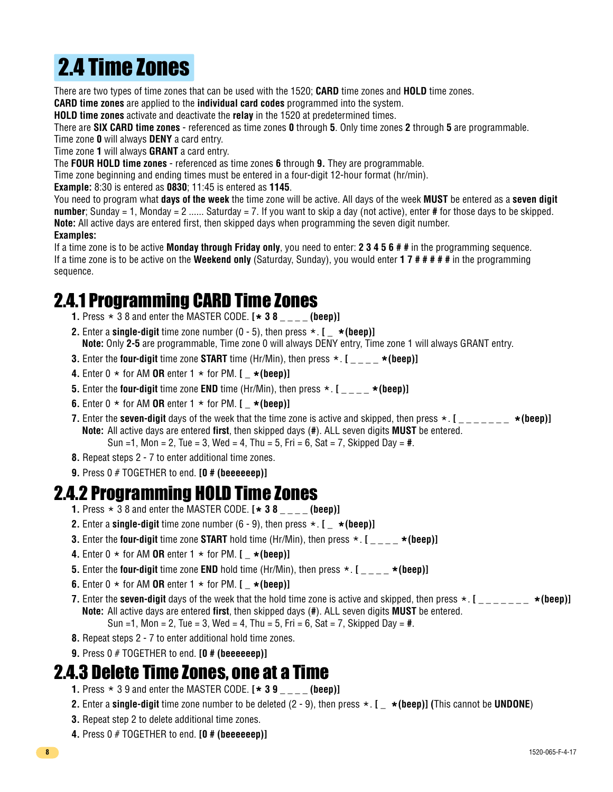# 2.4 Time Zones

There are two types of time zones that can be used with the 1520; **CARD** time zones and **HOLD** time zones. **CARD time zones** are applied to the **individual card codes** programmed into the system.

**HOLD time zones** activate and deactivate the **relay** in the 1520 at predetermined times.

There are **SIX CARD time zones** - referenced as time zones **0** through **5**. Only time zones **2** through **5** are programmable.

Time zone **0** will always **DENY** a card entry.

Time zone **1** will always **GRANT** a card entry.

The **FOUR HOLD time zones** - referenced as time zones **6** through **9.** They are programmable.

Time zone beginning and ending times must be entered in a four-digit 12-hour format (hr/min).

**Example:** 8:30 is entered as **0830**; 11:45 is entered as **1145**.

You need to program what **days of the week** the time zone will be active. All days of the week **MUST** be entered as a **seven digit number**; Sunday = 1, Monday = 2 ...... Saturday = 7. If you want to skip a day (not active), enter **#** for those days to be skipped. **Note:** All active days are entered first, then skipped days when programming the seven digit number.

#### **Examples:**

If a time zone is to be active **Monday through Friday only**, you need to enter: **2 3 4 5 6 # #** in the programming sequence. If a time zone is to be active on the **Weekend only** (Saturday, Sunday), you would enter **1 7 # # # # #** in the programming sequence.

#### 2.4.1 Programming CARD Time Zones

- **1.** Press \* 3 8 and enter the MASTER CODE. **[ \* 3 8 \_ \_ \_ \_ (beep)]**
- **2.** Enter a **single-digit** time zone number  $(0 5)$ , then press  $\star$ ,  $\mathbf{I} = \star$  (**beep**)**l Note:** Only **2-5** are programmable, Time zone 0 will always DENY entry, Time zone 1 will always GRANT entry.
- **3.** Enter the **four-digit** time zone **START** time (Hr/Min), then press \*. **[ \_ \_ \_ \_ \*(beep)]**
- **4.** Enter  $0 \times$  for AM OR enter  $1 \times$  for PM.  $[- \star (\text{been})]$
- **5.** Enter the **four-digit** time zone **END** time (Hr/Min), then press  $\star$  . [ $\_\_\_\_$  **\*(beep)**]
- **6.** Enter  $0 \star$  for AM **OR** enter  $1 \star$  for PM. **[** $\star$  (beep)]
- **7.** Enter the **seven-digit** days of the week that the time zone is active and skipped, then press  $\star$ . **[** \_ \_ \_ \_ \_ \_ **\* (beep)] Note:** All active days are entered **first**, then skipped days (**#**). ALL seven digits **MUST** be entered.

Sun =1, Mon = 2, Tue = 3, Wed = 4, Thu = 5, Fri = 6, Sat = 7, Skipped Day = **#**.

- **8.** Repeat steps 2 7 to enter additional time zones.
- **9.** Press 0 # TOGETHER to end. **[0 # (beeeeeep)]**

#### 2.4.2 Programming HOLD Time Zones

- **1.** Press \* 3 8 and enter the MASTER CODE. **[ \* 3 8 \_ \_ \_ \_ (beep)]**
- **2.** Enter a **single-digit** time zone number  $(6 9)$ , then press  $\star$ .  $[ \star$  (**beep**)]
- **3.** Enter the **four-digit** time zone **START** hold time (Hr/Min), then press  $\star$  .  $[$  \_ \_ \_  $\star$  (beep)]
- **4.** Enter  $0 \star$  for AM **OR** enter  $1 \star$  for PM.  $\left[ \begin{array}{c} \star (\text{been}) \end{array} \right]$
- **5.** Enter the **four-digit** time zone **END** hold time (Hr/Min), then press  $\star$ . [ $\star$  (beep)]
- **6.** Enter  $0 \times$  for AM **OR** enter  $1 \times$  for PM.  $\left[\right]_+ \times$  (beep)]
- **7.** Enter the **seven-digit** days of the week that the hold time zone is active and skipped, then press \*. **[ \_ \_ \_ \_ \_ \_ \_ \*(beep)] Note:** All active days are entered **first**, then skipped days (**#**). ALL seven digits **MUST** be entered. Sun =1, Mon = 2, Tue = 3, Wed = 4, Thu = 5, Fri = 6, Sat = 7, Skipped Day = **#**.
- **8.** Repeat steps 2 7 to enter additional hold time zones.
- **9.** Press 0 # TOGETHER to end. **[0 # (beeeeeep)]**

#### 2.4.3 Delete Time Zones, one at a Time

- **1.** Press \* 3 9 and enter the MASTER CODE. **[ \* 3 9 \_ \_ \_ \_ (beep)]**
- **2.** Enter a **single-digit** time zone number to be deleted (2 9), then press \*. **[ \_ \*(beep)] (**This cannot be **UNDONE**)
- **3.** Repeat step 2 to delete additional time zones.
- **4.** Press 0 # TOGETHER to end. **[0 # (beeeeeep)]**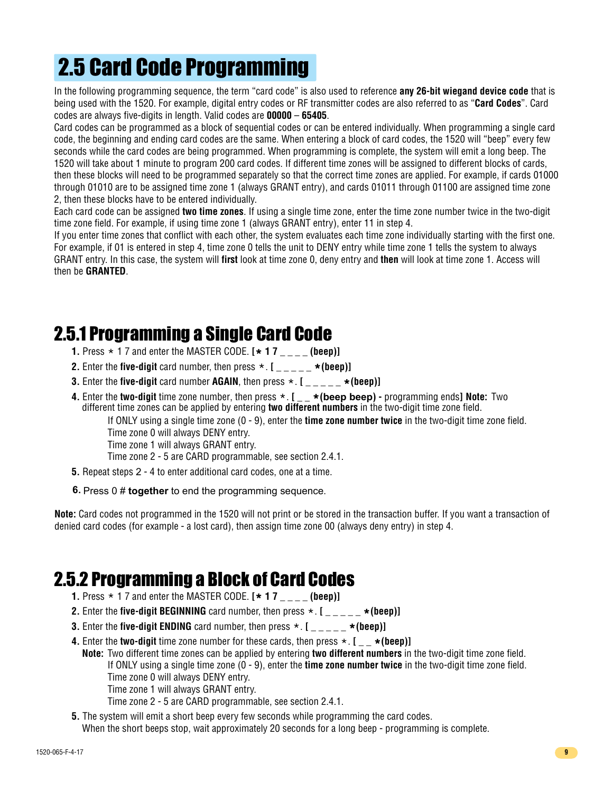# 2.5 Card Code Programming

In the following programming sequence, the term "card code" is also used to reference **any 26-bit wiegand device code** that is being used with the 1520. For example, digital entry codes or RF transmitter codes are also referred to as "**Card Codes**". Card codes are always five-digits in length. Valid codes are **00000** – **65405**.

Card codes can be programmed as a block of sequential codes or can be entered individually. When programming a single card code, the beginning and ending card codes are the same. When entering a block of card codes, the 1520 will "beep" every few seconds while the card codes are being programmed. When programming is complete, the system will emit a long beep. The 1520 will take about 1 minute to program 200 card codes. If different time zones will be assigned to different blocks of cards, then these blocks will need to be programmed separately so that the correct time zones are applied. For example, if cards 01000 through 01010 are to be assigned time zone 1 (always GRANT entry), and cards 01011 through 01100 are assigned time zone 2, then these blocks have to be entered individually.

Each card code can be assigned **two time zones**. If using a single time zone, enter the time zone number twice in the two-digit time zone field. For example, if using time zone 1 (always GRANT entry), enter 11 in step 4.

If you enter time zones that conflict with each other, the system evaluates each time zone individually starting with the first one. For example, if 01 is entered in step 4, time zone 0 tells the unit to DENY entry while time zone 1 tells the system to always GRANT entry. In this case, the system will **first** look at time zone 0, deny entry and **then** will look at time zone 1. Access will then be **GRANTED**.

## 2.5.1 Programming a Single Card Code

- **1.** Press \* 1 7 and enter the MASTER CODE. **[ \* 1 7 \_ \_ \_ \_ (beep)]**
- **2.** Enter the **five-digit** card number, then press  $\star$ .  $[$   $\begin{bmatrix} 0 & -1 \\ -1 & -1 \end{bmatrix}$   $\star$  (beep)]
- **3.** Enter the **five-digit** card number **AGAIN**, then press  $\star$ .  $[$  \_ \_ \_ \_  $\star$  (beep)]
- **4.** Enter the **two-digit** time zone number, then press \* . **[ \_ \_ \* (beep beep)** programming ends**] Note:** Two different time zones can be applied by entering **two different numbers** in the two-digit time zone field.

If ONLY using a single time zone (0 - 9), enter the **time zone number twice** in the two-digit time zone field.

Time zone 0 will always DENY entry.

Time zone 1 will always GRANT entry.

Time zone 2 - 5 are CARD programmable, see section 2.4.1.

- **5.** Repeat steps 2 4 to enter additional card codes, one at a time.
- **6.** Press 0 # **together** to end the programming sequence.

**Note:** Card codes not programmed in the 1520 will not print or be stored in the transaction buffer. If you want a transaction of denied card codes (for example - a lost card), then assign time zone 00 (always deny entry) in step 4.

#### 2.5.2 Programming a Block of Card Codes

- **1.** Press \* 1 7 and enter the MASTER CODE. **[ \* 1 7 \_ \_ \_ \_ (beep)]**
- **2.** Enter the **five-digit BEGINNING** card number, then press  $\star$ . [ $\star$  (beep)]
- **3.** Enter the **five-digit ENDING** card number, then press  $\star$ .  $[$  \_ \_ \_ \_  $\star$  (beep)]
- **4.** Enter the **two-digit** time zone number for these cards, then press  $\star$ ,  $[ \bullet \star (\text{been})]$ **Note:** Two different time zones can be applied by entering **two different numbers** in the two-digit time zone field. If ONLY using a single time zone (0 - 9), enter the **time zone number twice** in the two-digit time zone field. Time zone 0 will always DENY entry.

Time zone 1 will always GRANT entry.

Time zone 2 - 5 are CARD programmable, see section 2.4.1.

**5.** The system will emit a short beep every few seconds while programming the card codes. When the short beeps stop, wait approximately 20 seconds for a long beep - programming is complete.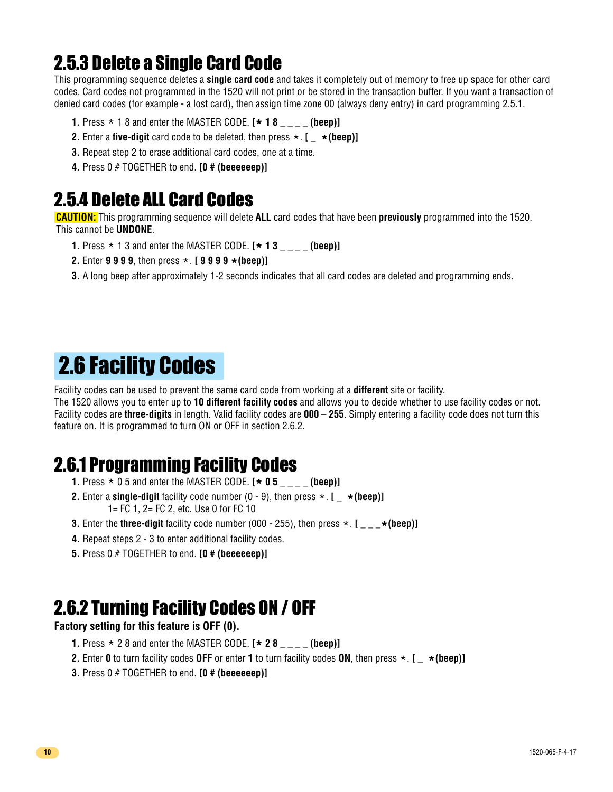## 2.5.3 Delete a Single Card Code

This programming sequence deletes a **single card code** and takes it completely out of memory to free up space for other card codes. Card codes not programmed in the 1520 will not print or be stored in the transaction buffer. If you want a transaction of denied card codes (for example - a lost card), then assign time zone 00 (always deny entry) in card programming 2.5.1.

- **1.** Press \* 1 8 and enter the MASTER CODE. **[ \* 1 8 \_ \_ \_ \_ (beep)]**
- **2.** Enter a **five-digit** card code to be deleted, then press \*. **[ \_ \*(beep)]**
- **3.** Repeat step 2 to erase additional card codes, one at a time.
- **4.** Press 0 # TOGETHER to end. **[0 # (beeeeeep)]**

#### 2.5.4 Delete ALL Card Codes

**CAUTION:** This programming sequence will delete **ALL** card codes that have been **previously** programmed into the 1520. This cannot be **UNDONE**.

- **1.** Press \* 1 3 and enter the MASTER CODE. **[ \* 1 3 \_ \_ \_ \_ (beep)]**
- **2.** Enter **9 9 9 9**, then press \*. **[ 9 9 9 9 \*(beep)]**
- **3.** A long beep after approximately 1-2 seconds indicates that all card codes are deleted and programming ends.

## 2.6 Facility Codes

Facility codes can be used to prevent the same card code from working at a **different** site or facility.

The 1520 allows you to enter up to **10 different facility codes** and allows you to decide whether to use facility codes or not. Facility codes are **three-digits** in length. Valid facility codes are **000** – **255**. Simply entering a facility code does not turn this feature on. It is programmed to turn ON or OFF in section 2.6.2.

#### 2.6.1 Programming Facility Codes

- **1.** Press \* 0 5 and enter the MASTER CODE. **[ \* 0 5 \_ \_ \_ \_ (beep)]**
- **2.** Enter a **single-digit** facility code number  $(0 9)$ , then press  $\star$ .  $[ \star$  (beep)] 1= FC 1, 2= FC 2, etc. Use 0 for FC 10
- **3.** Enter the **three-digit** facility code number (000 255), then press  $\star$ . [  $\star$  (beep)]
- **4.** Repeat steps 2 3 to enter additional facility codes.
- **5.** Press 0 # TOGETHER to end. **[0 # (beeeeeep)]**

#### 2.6.2 Turning Facility Codes ON / OFF

#### **Factory setting for this feature is OFF (0).**

- **1.** Press \* 2 8 and enter the MASTER CODE. **[ \* 2 8 \_ \_ \_ \_ (beep)]**
- **2.** Enter **0** to turn facility codes **OFF** or enter **1** to turn facility codes **ON**, then press \*. **[ \_ \*(beep)]**
- **3.** Press 0 # TOGETHER to end. **[0 # (beeeeeep)]**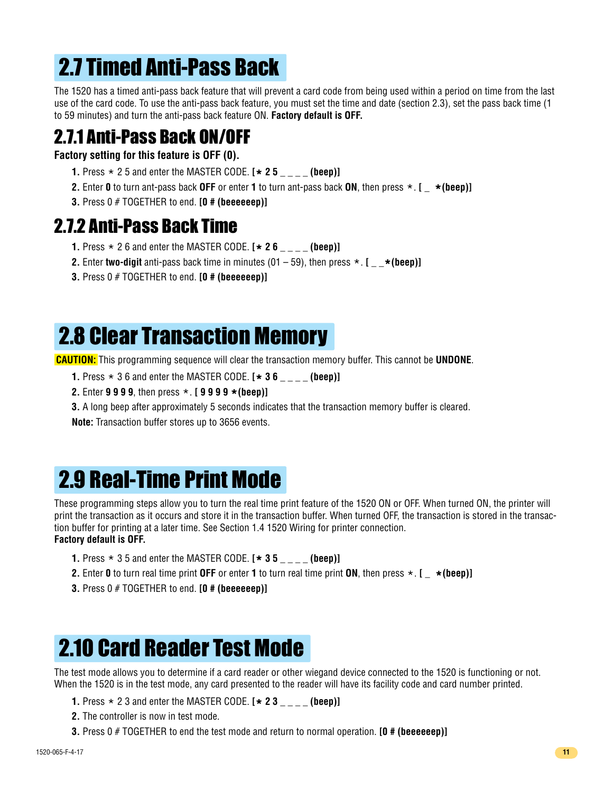# 2.7 Timed Anti-Pass Back

The 1520 has a timed anti-pass back feature that will prevent a card code from being used within a period on time from the last use of the card code. To use the anti-pass back feature, you must set the time and date (section 2.3), set the pass back time (1 to 59 minutes) and turn the anti-pass back feature ON. **Factory default is OFF.**

## 2.7.1 Anti-Pass Back ON/OFF

**Factory setting for this feature is OFF (0).**

- **1.** Press \* 2 5 and enter the MASTER CODE. **[ \* 2 5 \_ \_ \_ \_ (beep)]**
- **2.** Enter **0** to turn ant-pass back **OFF** or enter **1** to turn ant-pass back **ON**, then press \*. **[ \_ \*(beep)]**
- **3.** Press 0 # TOGETHER to end. **[0 # (beeeeeep)]**

#### 2.7.2 Anti-Pass Back Time

- **1.** Press \* 2 6 and enter the MASTER CODE. **[ \* 2 6 \_ \_ \_ \_ (beep)]**
- **2.** Enter **two-digit** anti-pass back time in minutes  $(01 59)$ , then press  $\star$ . [  $\star$  (beep)]
- **3.** Press 0 # TOGETHER to end. **[0 # (beeeeeep)]**

## 2.8 Clear Transaction Memory

**CAUTION:** This programming sequence will clear the transaction memory buffer. This cannot be **UNDONE**.

- **1.** Press \* 3 6 and enter the MASTER CODE. **[ \* 3 6 \_ \_ \_ \_ (beep)]**
- **2.** Enter **9 9 9 9**, then press \*. **[ 9 9 9 9 \*(beep)]**
- **3.** A long beep after approximately 5 seconds indicates that the transaction memory buffer is cleared.

**Note:** Transaction buffer stores up to 3656 events.

## 2.9 Real-Time Print Mode

These programming steps allow you to turn the real time print feature of the 1520 ON or OFF. When turned ON, the printer will print the transaction as it occurs and store it in the transaction buffer. When turned OFF, the transaction is stored in the transaction buffer for printing at a later time. See Section 1.4 1520 Wiring for printer connection. **Factory default is OFF.**

- **1.** Press \* 3 5 and enter the MASTER CODE. **[ \* 3 5 \_ \_ \_ \_ (beep)]**
- **2.** Enter **0** to turn real time print **OFF** or enter **1** to turn real time print **ON**, then press \*. **[ \_ \*(beep)]**
- **3.** Press 0 # TOGETHER to end. **[0 # (beeeeeep)]**

## 2.10 Card Reader Test Mode

The test mode allows you to determine if a card reader or other wiegand device connected to the 1520 is functioning or not. When the 1520 is in the test mode, any card presented to the reader will have its facility code and card number printed.

- **1.** Press \* 2 3 and enter the MASTER CODE. **[ \* 2 3 \_ \_ \_ \_ (beep)]**
- **2.** The controller is now in test mode.
- **3.** Press 0 # TOGETHER to end the test mode and return to normal operation. **[0 # (beeeeeep)]**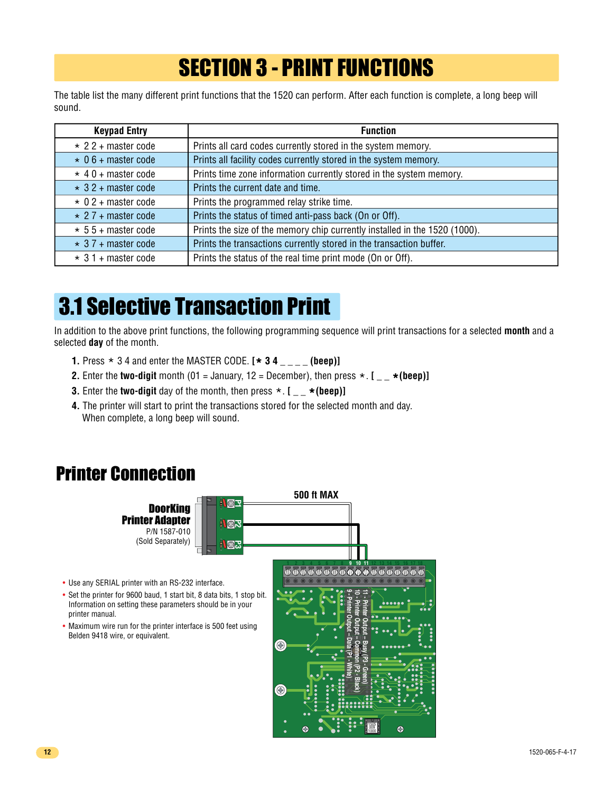## SECTION 3 - PRINT FUNCTIONS

The table list the many different print functions that the 1520 can perform. After each function is complete, a long beep will sound.

| <b>Keypad Entry</b>       | <b>Function</b>                                                            |  |  |
|---------------------------|----------------------------------------------------------------------------|--|--|
| $\star$ 2 2 + master code | Prints all card codes currently stored in the system memory.               |  |  |
| $\star$ 0 6 + master code | Prints all facility codes currently stored in the system memory.           |  |  |
| $*$ 40 + master code      | Prints time zone information currently stored in the system memory.        |  |  |
| $\star$ 3 2 + master code | Prints the current date and time.                                          |  |  |
| $\star$ 0 2 + master code | Prints the programmed relay strike time.                                   |  |  |
| $\star$ 27 + master code  | Prints the status of timed anti-pass back (On or Off).                     |  |  |
| $\star$ 5 5 + master code | Prints the size of the memory chip currently installed in the 1520 (1000). |  |  |
| $\star$ 3 7 + master code | Prints the transactions currently stored in the transaction buffer.        |  |  |
| $\star$ 3 1 + master code | Prints the status of the real time print mode (On or Off).                 |  |  |

## 3.1 Selective Transaction Print

In addition to the above print functions, the following programming sequence will print transactions for a selected **month** and a selected **day** of the month.

- **1.** Press \* 3 4 and enter the MASTER CODE. **[ \* 3 4 \_ \_ \_ \_ (beep)]**
- **2.** Enter the **two-digit** month (01 = January, 12 = December), then press  $\star$  .  $[ \_ \star$  (beep)]
- **3.** Enter the **two-digit** day of the month, then press  $\star$ . [  $\star$  (**beep**)]
- **4.** The printer will start to print the transactions stored for the selected month and day. When complete, a long beep will sound.

#### Printer Connection

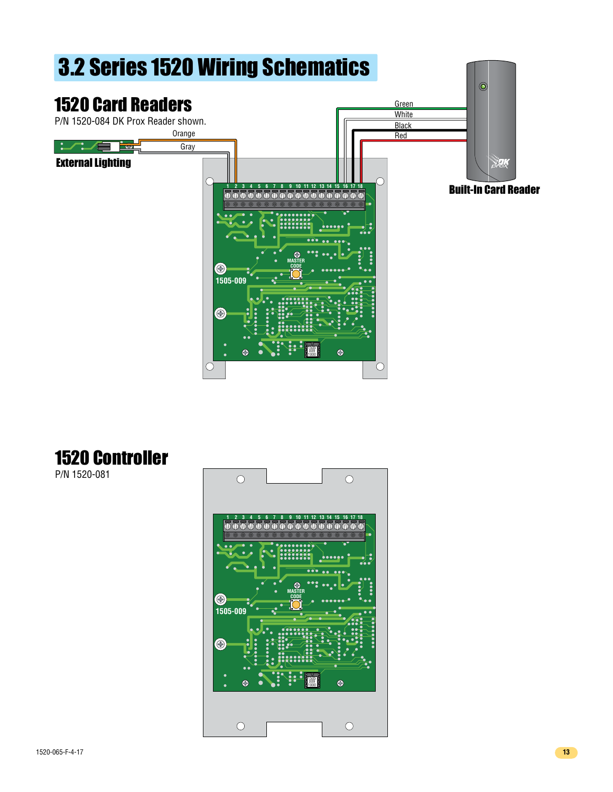

## 1520 Controller

P/N 1520-081